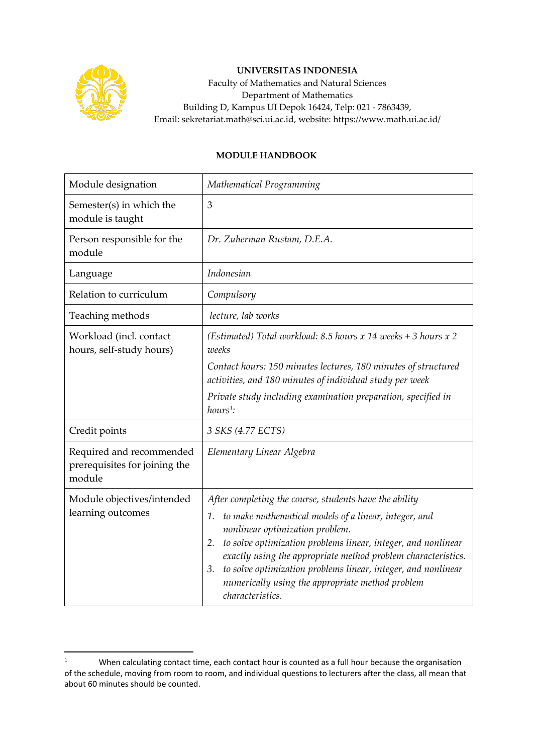

## **UNIVERSITAS INDONESIA**

Faculty of Mathematics and Natural Sciences Department of Mathematics Building D, Kampus UI Depok 16424, Telp: 021 - 7863439, Email: sekretariat.math@sci.ui.ac.id, website: https://www.math.ui.ac.id/

## **MODULE HANDBOOK**

| Module designation                                                  | Mathematical Programming                                                                                                                                                                                                                                                                                                                                                                                                                               |
|---------------------------------------------------------------------|--------------------------------------------------------------------------------------------------------------------------------------------------------------------------------------------------------------------------------------------------------------------------------------------------------------------------------------------------------------------------------------------------------------------------------------------------------|
| Semester(s) in which the<br>module is taught                        | 3                                                                                                                                                                                                                                                                                                                                                                                                                                                      |
| Person responsible for the<br>module                                | Dr. Zuherman Rustam, D.E.A.                                                                                                                                                                                                                                                                                                                                                                                                                            |
| Language                                                            | Indonesian                                                                                                                                                                                                                                                                                                                                                                                                                                             |
| Relation to curriculum                                              | Compulsory                                                                                                                                                                                                                                                                                                                                                                                                                                             |
| Teaching methods                                                    | lecture, lab works                                                                                                                                                                                                                                                                                                                                                                                                                                     |
| Workload (incl. contact<br>hours, self-study hours)                 | (Estimated) Total workload: 8.5 hours x 14 weeks + 3 hours x 2<br>weeks                                                                                                                                                                                                                                                                                                                                                                                |
|                                                                     | Contact hours: 150 minutes lectures, 180 minutes of structured<br>activities, and 180 minutes of individual study per week                                                                                                                                                                                                                                                                                                                             |
|                                                                     | Private study including examination preparation, specified in<br>$hours1$ :                                                                                                                                                                                                                                                                                                                                                                            |
| Credit points                                                       | 3 SKS (4.77 ECTS)                                                                                                                                                                                                                                                                                                                                                                                                                                      |
| Required and recommended<br>prerequisites for joining the<br>module | Elementary Linear Algebra                                                                                                                                                                                                                                                                                                                                                                                                                              |
| Module objectives/intended<br>learning outcomes                     | After completing the course, students have the ability<br>to make mathematical models of a linear, integer, and<br>1.<br>nonlinear optimization problem.<br>to solve optimization problems linear, integer, and nonlinear<br>2.<br>exactly using the appropriate method problem characteristics.<br>to solve optimization problems linear, integer, and nonlinear<br>3.<br>numerically using the appropriate method problem<br><i>characteristics.</i> |

<sup>&</sup>lt;sup>1</sup> When calculating contact time, each contact hour is counted as a full hour because the organisation of the schedule, moving from room to room, and individual questions to lecturers after the class, all mean that about 60 minutes should be counted.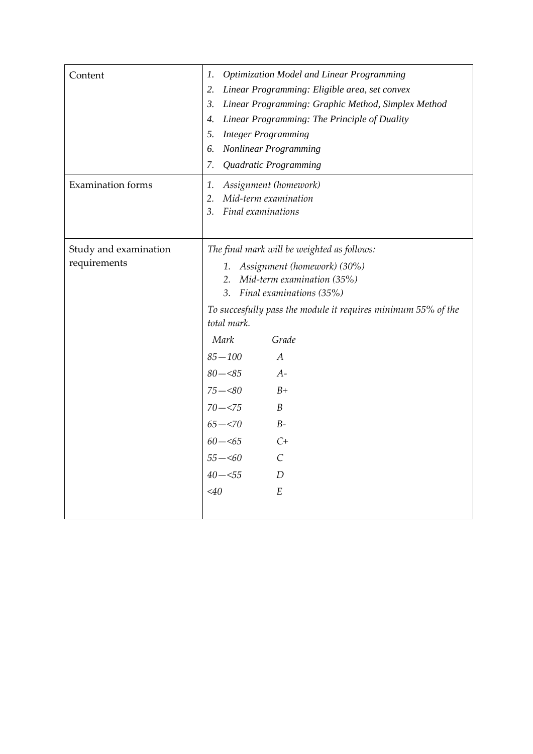| Content                               | <b>Optimization Model and Linear Programming</b><br>1.<br>Linear Programming: Eligible area, set convex<br>2.<br>3.<br>Linear Programming: Graphic Method, Simplex Method<br>Linear Programming: The Principle of Duality<br>4.<br><b>Integer Programming</b><br>5.<br><b>Nonlinear Programming</b><br>6.                                                                                                                                                                      |
|---------------------------------------|--------------------------------------------------------------------------------------------------------------------------------------------------------------------------------------------------------------------------------------------------------------------------------------------------------------------------------------------------------------------------------------------------------------------------------------------------------------------------------|
| <b>Examination</b> forms              | 7.<br>Quadratic Programming<br>Assignment (homework)<br>1.<br>Mid-term examination<br>2.<br>Final examinations<br>3.                                                                                                                                                                                                                                                                                                                                                           |
| Study and examination<br>requirements | The final mark will be weighted as follows:<br>Assignment (homework) (30%)<br>1.<br>Mid-term examination (35%)<br>2.<br>Final examinations (35%)<br>3.<br>To succesfully pass the module it requires minimum 55% of the<br>total mark.<br>Mark<br>Grade<br>$85 - 100$<br>$\overline{A}$<br>$80 - 85$<br>$A-$<br>$75 - 80$<br>$B+$<br>$70 - 575$<br>$\boldsymbol{B}$<br>$65 - 570$<br>$B-$<br>$60 - 565$<br>$C+$<br>$55 - 60$<br>$\mathcal{C}$<br>$40 - 55$<br>D<br>E<br>$<$ 40 |